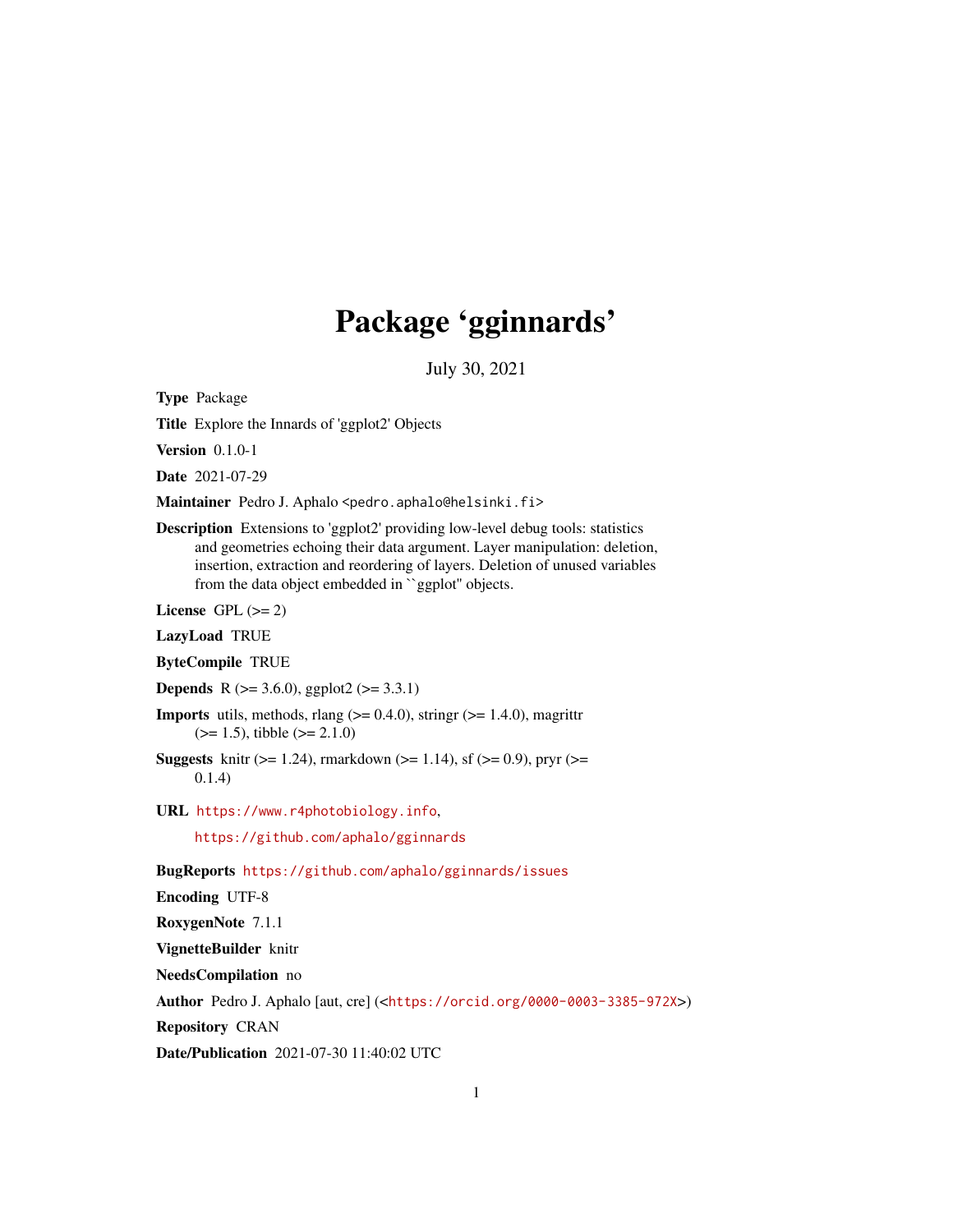# Package 'gginnards'

July 30, 2021

<span id="page-0-0"></span>Type Package

Title Explore the Innards of 'ggplot2' Objects

Version 0.1.0-1

Date 2021-07-29

Maintainer Pedro J. Aphalo <pedro.aphalo@helsinki.fi>

Description Extensions to 'ggplot2' providing low-level debug tools: statistics and geometries echoing their data argument. Layer manipulation: deletion, insertion, extraction and reordering of layers. Deletion of unused variables from the data object embedded in ``ggplot'' objects.

License GPL  $(>= 2)$ 

LazyLoad TRUE

ByteCompile TRUE

**Depends** R ( $>= 3.6.0$ ), ggplot2 ( $>= 3.3.1$ )

- **Imports** utils, methods, rlang  $(>= 0.4.0)$ , stringr  $(>= 1.4.0)$ , magrittr  $(>= 1.5)$ , tibble  $(>= 2.1.0)$
- **Suggests** knitr ( $>= 1.24$ ), rmarkdown ( $>= 1.14$ ), sf ( $>= 0.9$ ), pryr ( $>= 1.14$ ) 0.1.4)
- URL <https://www.r4photobiology.info>,

<https://github.com/aphalo/gginnards>

BugReports <https://github.com/aphalo/gginnards/issues>

Encoding UTF-8

RoxygenNote 7.1.1

VignetteBuilder knitr

NeedsCompilation no

Author Pedro J. Aphalo [aut, cre] (<<https://orcid.org/0000-0003-3385-972X>>)

Repository CRAN

Date/Publication 2021-07-30 11:40:02 UTC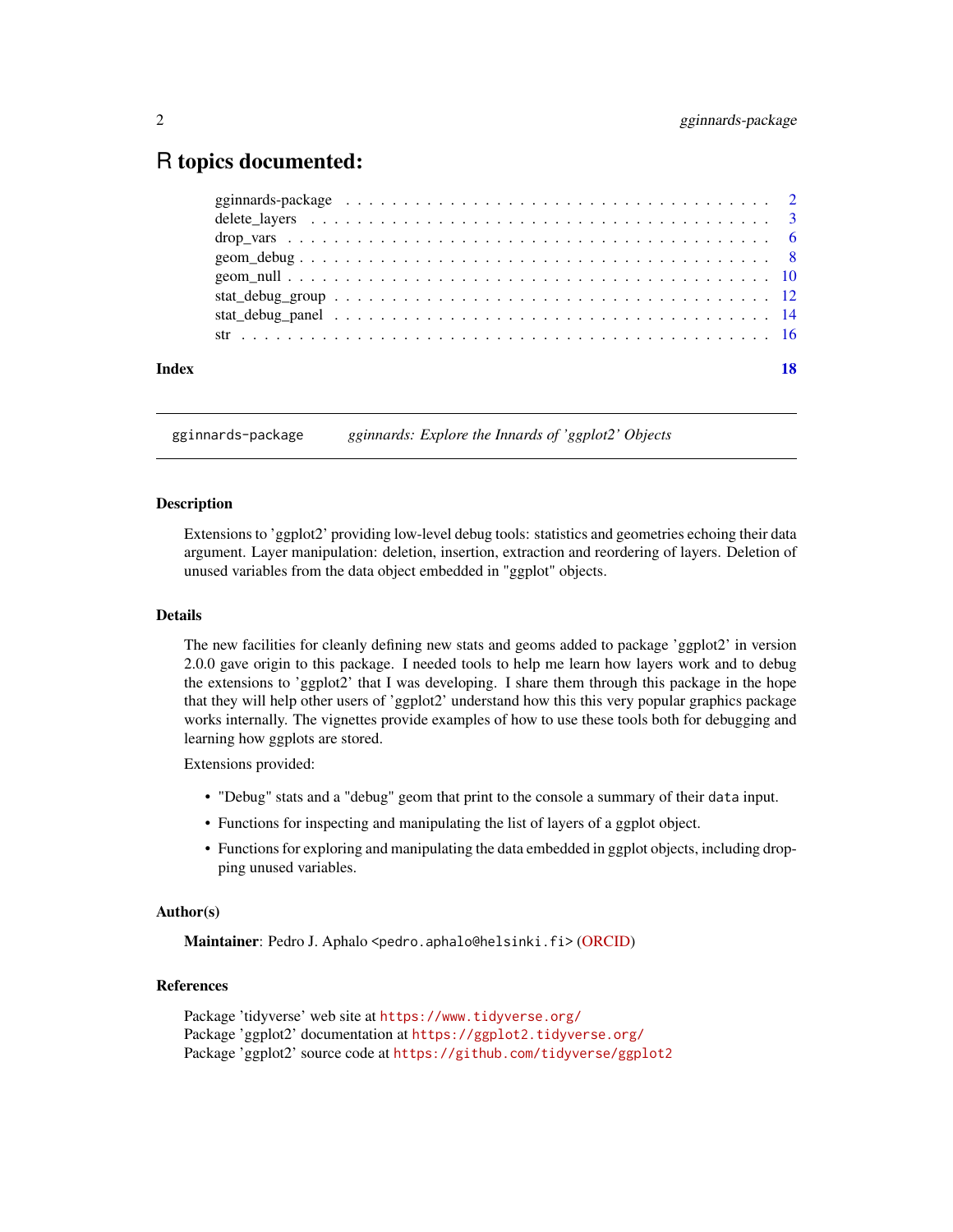# <span id="page-1-0"></span>R topics documented:

| Index | 18 |
|-------|----|
|       |    |
|       |    |
|       |    |
|       |    |
|       |    |
|       |    |
|       |    |
|       |    |

gginnards-package *gginnards: Explore the Innards of 'ggplot2' Objects*

#### **Description**

Extensions to 'ggplot2' providing low-level debug tools: statistics and geometries echoing their data argument. Layer manipulation: deletion, insertion, extraction and reordering of layers. Deletion of unused variables from the data object embedded in "ggplot" objects.

#### Details

The new facilities for cleanly defining new stats and geoms added to package 'ggplot2' in version 2.0.0 gave origin to this package. I needed tools to help me learn how layers work and to debug the extensions to 'ggplot2' that I was developing. I share them through this package in the hope that they will help other users of 'ggplot2' understand how this this very popular graphics package works internally. The vignettes provide examples of how to use these tools both for debugging and learning how ggplots are stored.

Extensions provided:

- "Debug" stats and a "debug" geom that print to the console a summary of their data input.
- Functions for inspecting and manipulating the list of layers of a ggplot object.
- Functions for exploring and manipulating the data embedded in ggplot objects, including dropping unused variables.

# Author(s)

Maintainer: Pedro J. Aphalo <pedro.aphalo@helsinki.fi> [\(ORCID\)](https://orcid.org/0000-0003-3385-972X)

# References

Package 'tidyverse' web site at <https://www.tidyverse.org/> Package 'ggplot2' documentation at <https://ggplot2.tidyverse.org/> Package 'ggplot2' source code at <https://github.com/tidyverse/ggplot2>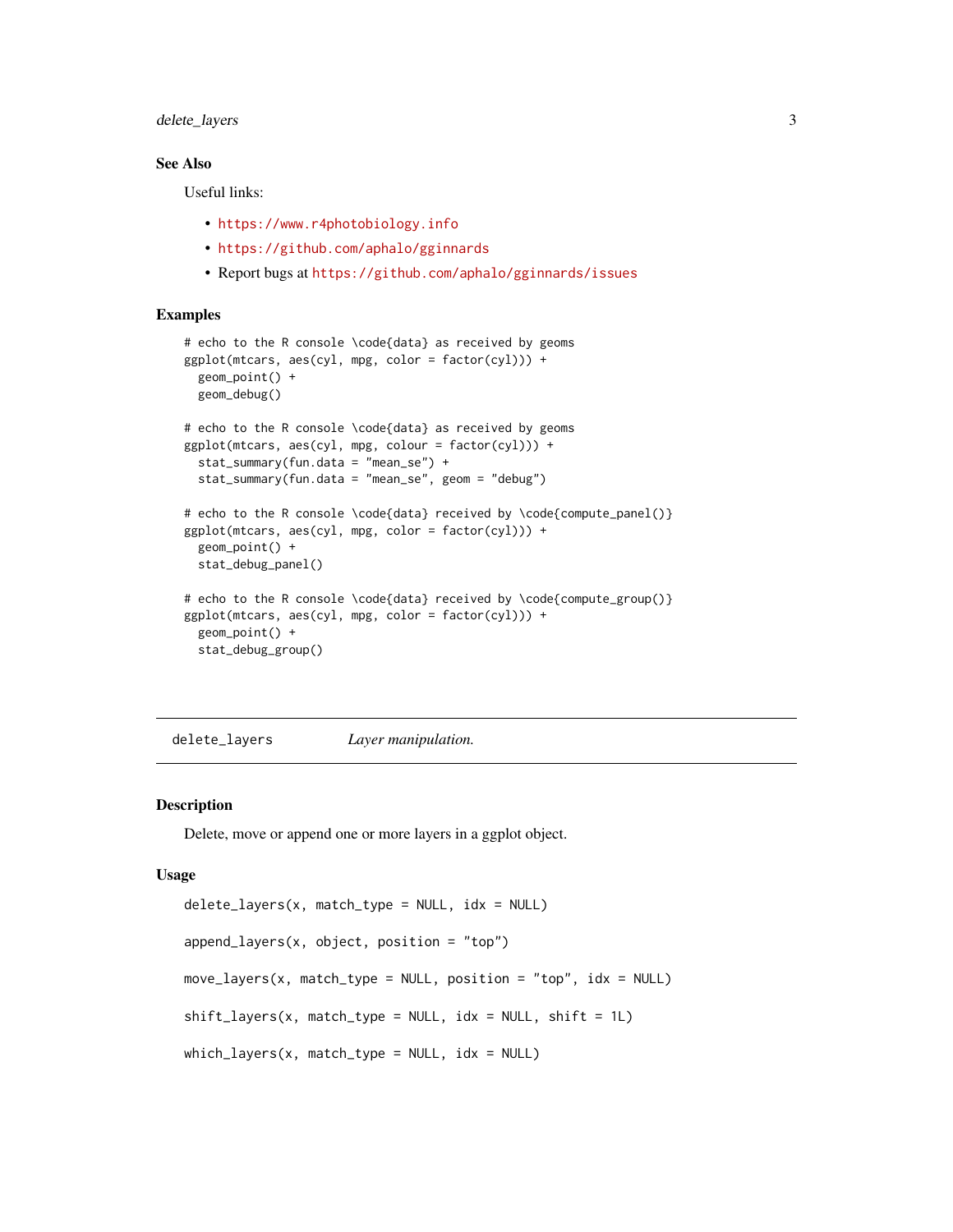# <span id="page-2-0"></span>delete\_layers 3

# See Also

Useful links:

- <https://www.r4photobiology.info>
- <https://github.com/aphalo/gginnards>
- Report bugs at <https://github.com/aphalo/gginnards/issues>

# Examples

```
# echo to the R console \code{data} as received by geoms
ggplot(mtcars, aes(cyl, mpg, color = factor(cyl))) +
 geom_point() +
 geom_debug()
# echo to the R console \code{data} as received by geoms
ggplot(mtcars, aes(cyl, mpg, colour = factor(cyl))) +
 stat_summary(fun.data = "mean_se") +
 stat_summary(fun.data = "mean_se", geom = "debug")
# echo to the R console \code{data} received by \code{compute_panel()}
ggplot(mtcars, aes(cyl, mpg, color = factor(cyl))) +
 geom_point() +
 stat_debug_panel()
# echo to the R console \code{data} received by \code{compute_group()}
ggplot(mtcars, aes(cyl, mpg, color = factor(cyl))) +
 geom_point() +
 stat_debug_group()
```
delete\_layers *Layer manipulation.*

#### Description

Delete, move or append one or more layers in a ggplot object.

#### Usage

```
delete_layers(x, match_type = NULL, idx = NULL)
append\_layers(x, object, position = "top")move\_layers(x, match\_type = NULL, position = "top", idx = NULL)shift\_layers(x, match\_type = NULL, idx = NULL, shift = 1L)which_{\text{layers}}(x, \text{match}_{\text{type}} = \text{NULL}, \text{idx} = \text{NULL})
```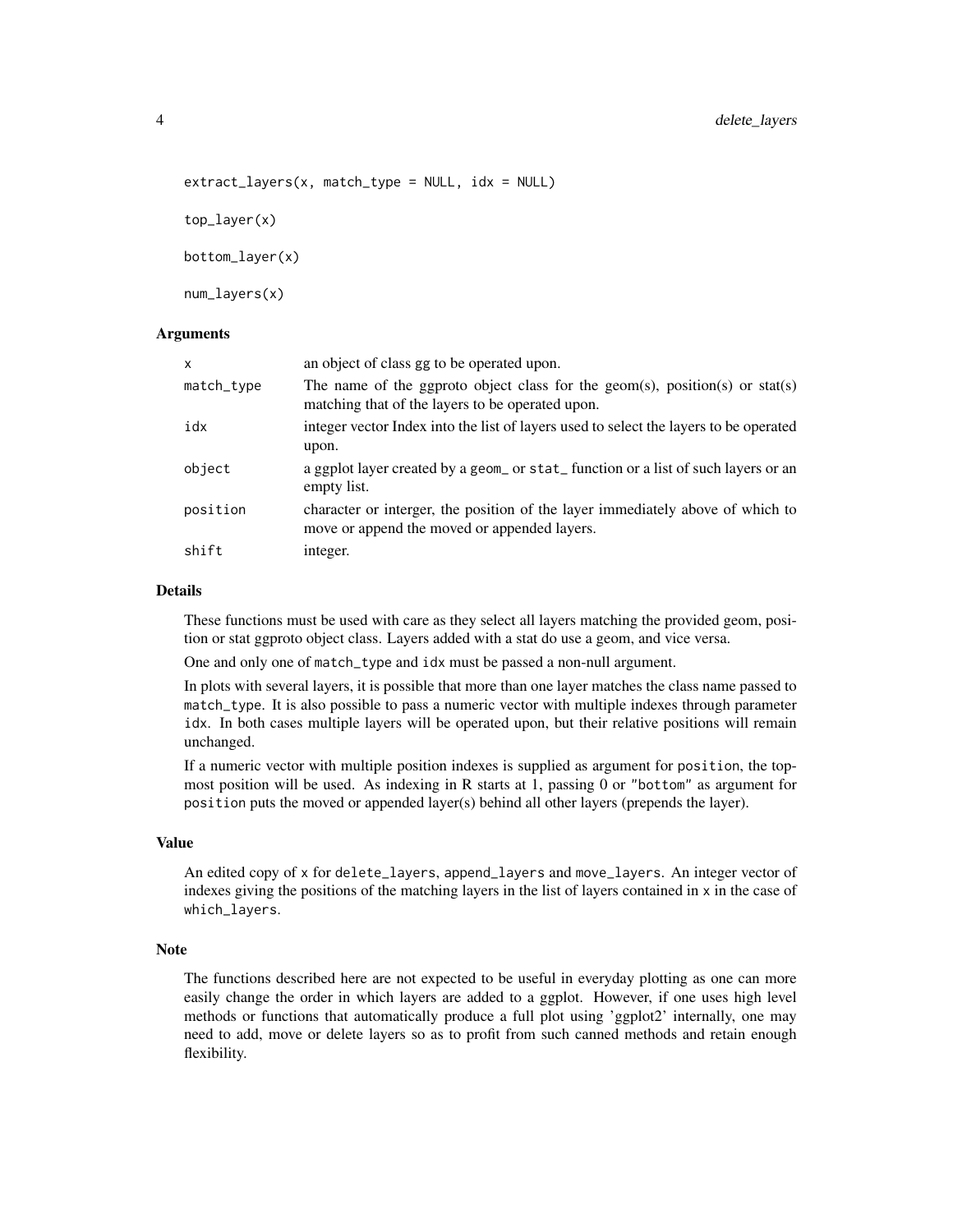```
extract_{layers}(x, match_{type} = NULL, idx = NULL)
```
top\_layer(x)

bottom\_layer(x)

num\_layers(x)

# Arguments

| x          | an object of class gg to be operated upon.                                                                                       |
|------------|----------------------------------------------------------------------------------------------------------------------------------|
| match_type | The name of the ggproto object class for the geom(s), position(s) or stat(s)<br>matching that of the layers to be operated upon. |
| idx        | integer vector Index into the list of layers used to select the layers to be operated<br>upon.                                   |
| object     | a ggplot layer created by a geom_ or stat_function or a list of such layers or an<br>empty list.                                 |
| position   | character or interger, the position of the layer immediately above of which to<br>move or append the moved or appended layers.   |
| shift      | integer.                                                                                                                         |

#### Details

These functions must be used with care as they select all layers matching the provided geom, position or stat ggproto object class. Layers added with a stat do use a geom, and vice versa.

One and only one of match\_type and idx must be passed a non-null argument.

In plots with several layers, it is possible that more than one layer matches the class name passed to match\_type. It is also possible to pass a numeric vector with multiple indexes through parameter idx. In both cases multiple layers will be operated upon, but their relative positions will remain unchanged.

If a numeric vector with multiple position indexes is supplied as argument for position, the topmost position will be used. As indexing in R starts at 1, passing 0 or "bottom" as argument for position puts the moved or appended layer(s) behind all other layers (prepends the layer).

#### Value

An edited copy of x for delete\_layers, append\_layers and move\_layers. An integer vector of indexes giving the positions of the matching layers in the list of layers contained in x in the case of which\_layers.

# Note

The functions described here are not expected to be useful in everyday plotting as one can more easily change the order in which layers are added to a ggplot. However, if one uses high level methods or functions that automatically produce a full plot using 'ggplot2' internally, one may need to add, move or delete layers so as to profit from such canned methods and retain enough flexibility.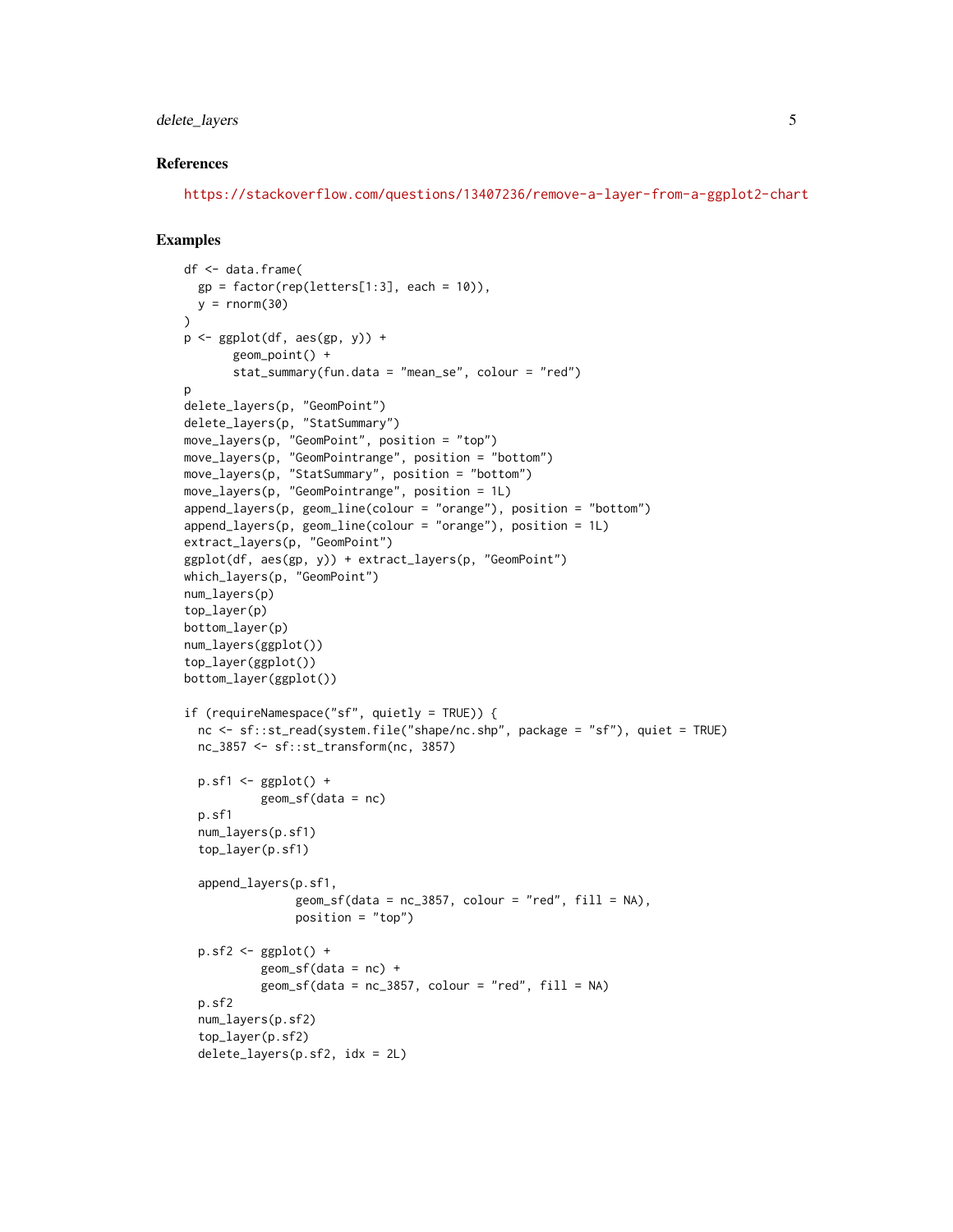# delete\_layers 5

#### References

<https://stackoverflow.com/questions/13407236/remove-a-layer-from-a-ggplot2-chart>

```
df <- data.frame(
  gp = factor(rep(leftters[1:3], each = 10)),y = rnorm(30)\lambdap \leftarrow ggplot(df, aes(gp, y)) +
       geom_point() +
       stat_summary(fun.data = "mean_se", colour = "red")
\mathsf{D}delete_layers(p, "GeomPoint")
delete_layers(p, "StatSummary")
move_layers(p, "GeomPoint", position = "top")
move_layers(p, "GeomPointrange", position = "bottom")
move_layers(p, "StatSummary", position = "bottom")
move_layers(p, "GeomPointrange", position = 1L)
append_layers(p, geom_line(colour = "orange"), position = "bottom")
append_layers(p, geom_line(colour = "orange"), position = 1L)
extract_layers(p, "GeomPoint")
ggplot(df, aes(gp, y)) + extract_layers(p, "GeomPoint")
which_layers(p, "GeomPoint")
num_layers(p)
top_layer(p)
bottom_layer(p)
num_layers(ggplot())
top_layer(ggplot())
bottom_layer(ggplot())
if (requireNamespace("sf", quietly = TRUE)) {
  nc <- sf::st_read(system.file("shape/nc.shp", package = "sf"), quiet = TRUE)
  nc_3857 <- sf::st_transform(nc, 3857)
  p.sf1 \leftarrow ggblot() +geom_sf(data = nc)
  p.sf1
  num_layers(p.sf1)
  top_layer(p.sf1)
  append_layers(p.sf1,
                geom_s f(data = nc_3857, colour = "red", fill = NA),position = "top")
  p.sf2 \leftarrow ggplot() +geom_sf(data = nc) +geom_s f(data = nc_3857, colour = "red", fill = NA)p.sf2
  num_layers(p.sf2)
  top_layer(p.sf2)
  delete_layers(p.sf2, idx = 2L)
```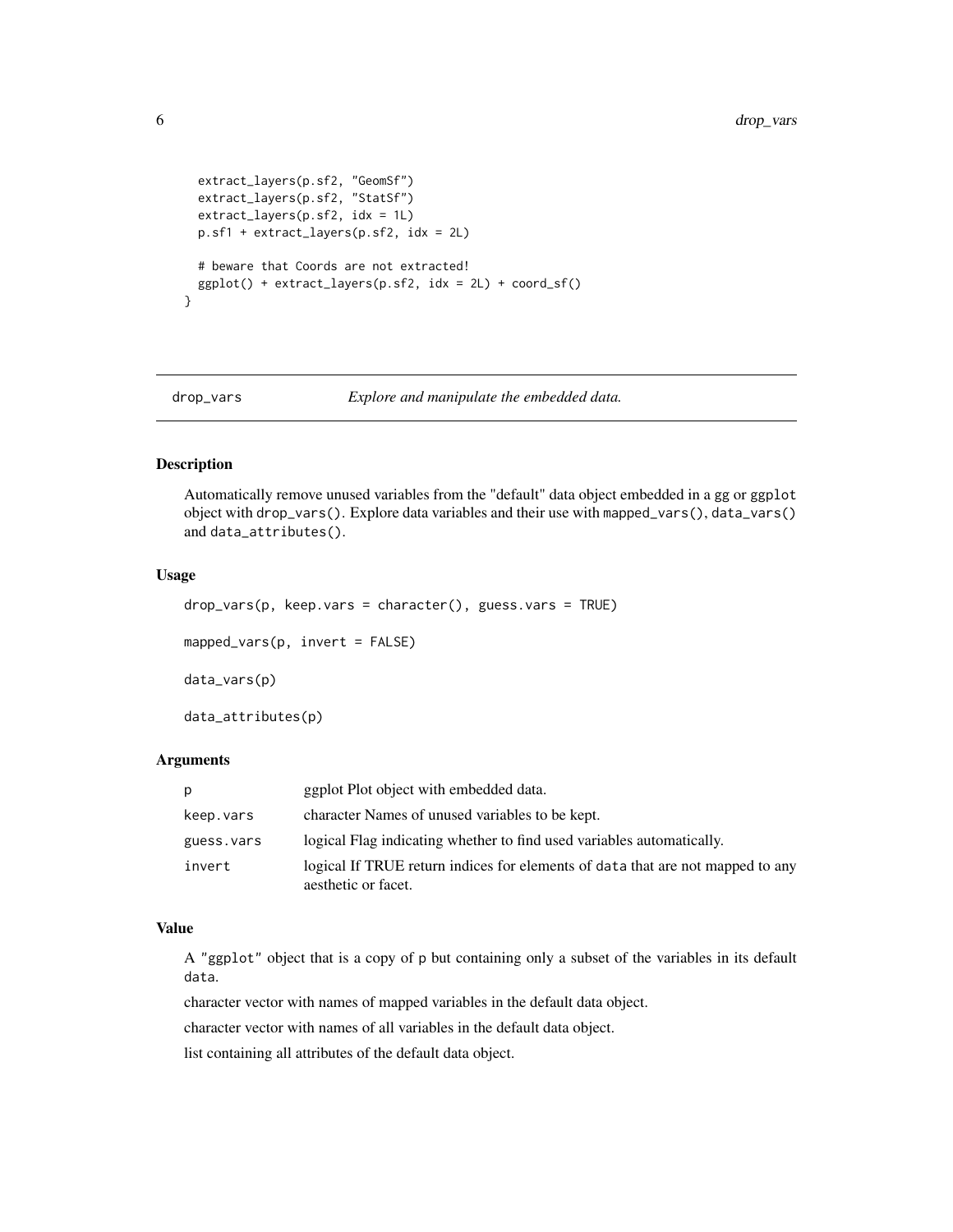```
extract_layers(p.sf2, "GeomSf")
 extract_layers(p.sf2, "StatSf")
 extract_layers(p.sf2, idx = 1L)
 p.sf1 + extract_layers(p.sf2, idx = 2L)
 # beware that Coords are not extracted!
 ggplot() + extract_layers(p.sf2, idx = 2L) + coord_sf()
}
```

```
drop_vars Explore and manipulate the embedded data.
```
#### Description

Automatically remove unused variables from the "default" data object embedded in a gg or ggplot object with drop\_vars(). Explore data variables and their use with mapped\_vars(), data\_vars() and data\_attributes().

#### Usage

```
drop_vars(p, keep.vars = character(), guess.vars = TRUE)
```
mapped\_vars(p, invert = FALSE)

data\_vars(p)

data\_attributes(p)

# Arguments

| p          | ggplot Plot object with embedded data.                                                                |
|------------|-------------------------------------------------------------------------------------------------------|
| keep.vars  | character Names of unused variables to be kept.                                                       |
| guess.vars | logical Flag indicating whether to find used variables automatically.                                 |
| invert     | logical If TRUE return indices for elements of data that are not mapped to any<br>aesthetic or facet. |

#### Value

A "ggplot" object that is a copy of p but containing only a subset of the variables in its default data.

character vector with names of mapped variables in the default data object.

character vector with names of all variables in the default data object.

list containing all attributes of the default data object.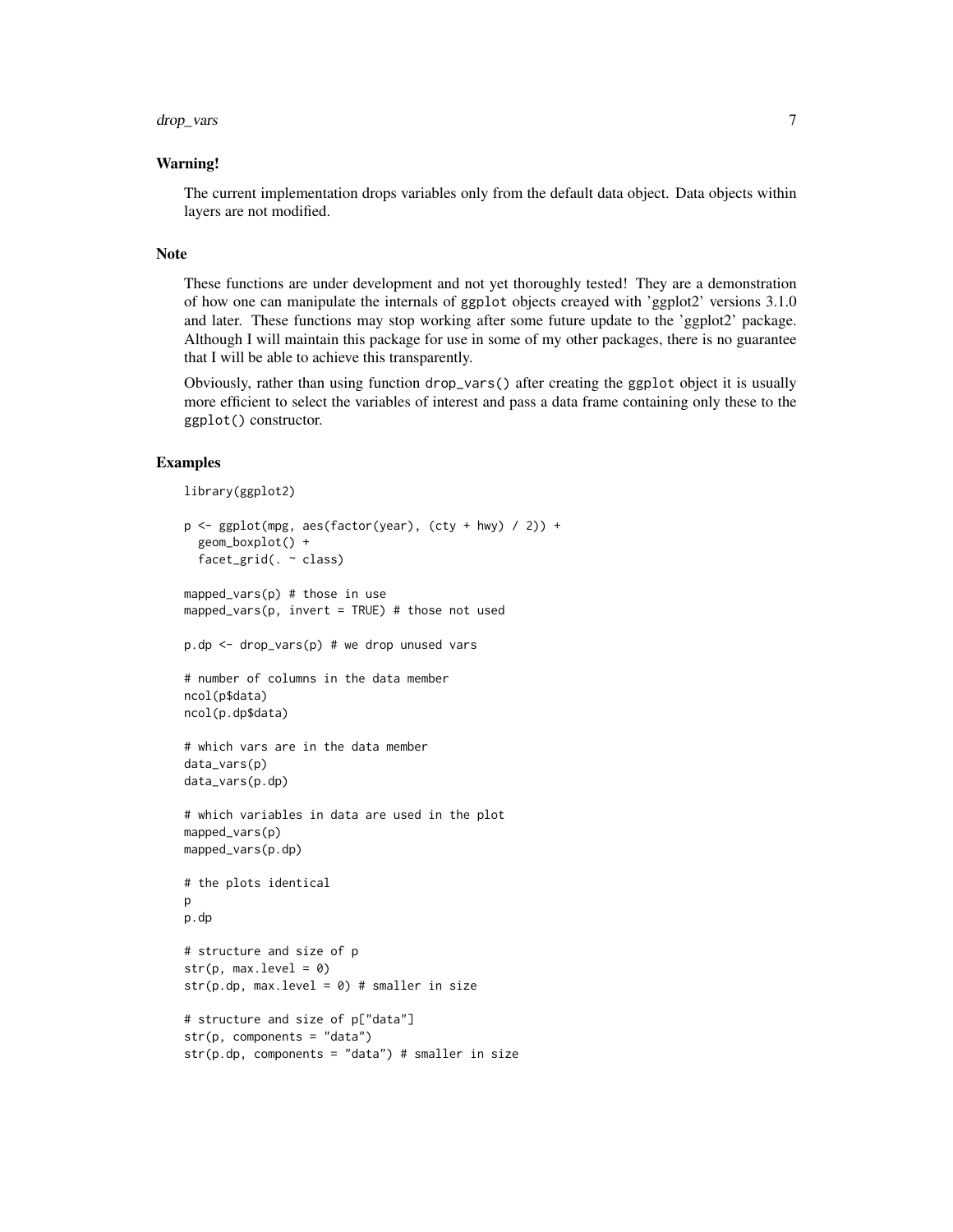#### Warning!

The current implementation drops variables only from the default data object. Data objects within layers are not modified.

#### Note

These functions are under development and not yet thoroughly tested! They are a demonstration of how one can manipulate the internals of ggplot objects creayed with 'ggplot2' versions 3.1.0 and later. These functions may stop working after some future update to the 'ggplot2' package. Although I will maintain this package for use in some of my other packages, there is no guarantee that I will be able to achieve this transparently.

Obviously, rather than using function drop\_vars() after creating the ggplot object it is usually more efficient to select the variables of interest and pass a data frame containing only these to the ggplot() constructor.

```
library(ggplot2)
```

```
p \leftarrow \text{ggplot}(mpg, \text{aes}(\text{factor}(year), (cty + hwy) / 2)) +geom_boxplot() +
 facet_grid(. ~ class)
mapped_vars(p) # those in use
mapped_vars(p, invert = TRUE) # those not used
p.dp <- drop_vars(p) # we drop unused vars
# number of columns in the data member
ncol(p$data)
ncol(p.dp$data)
# which vars are in the data member
data_vars(p)
data_vars(p.dp)
# which variables in data are used in the plot
mapped_vars(p)
mapped_vars(p.dp)
# the plots identical
p
p.dp
# structure and size of p
str(p, max. level = 0)str(p.dp, max.level = 0) # smaller in size
# structure and size of p["data"]
str(p, components = "data")
str(p.dp, components = "data") # smaller in size
```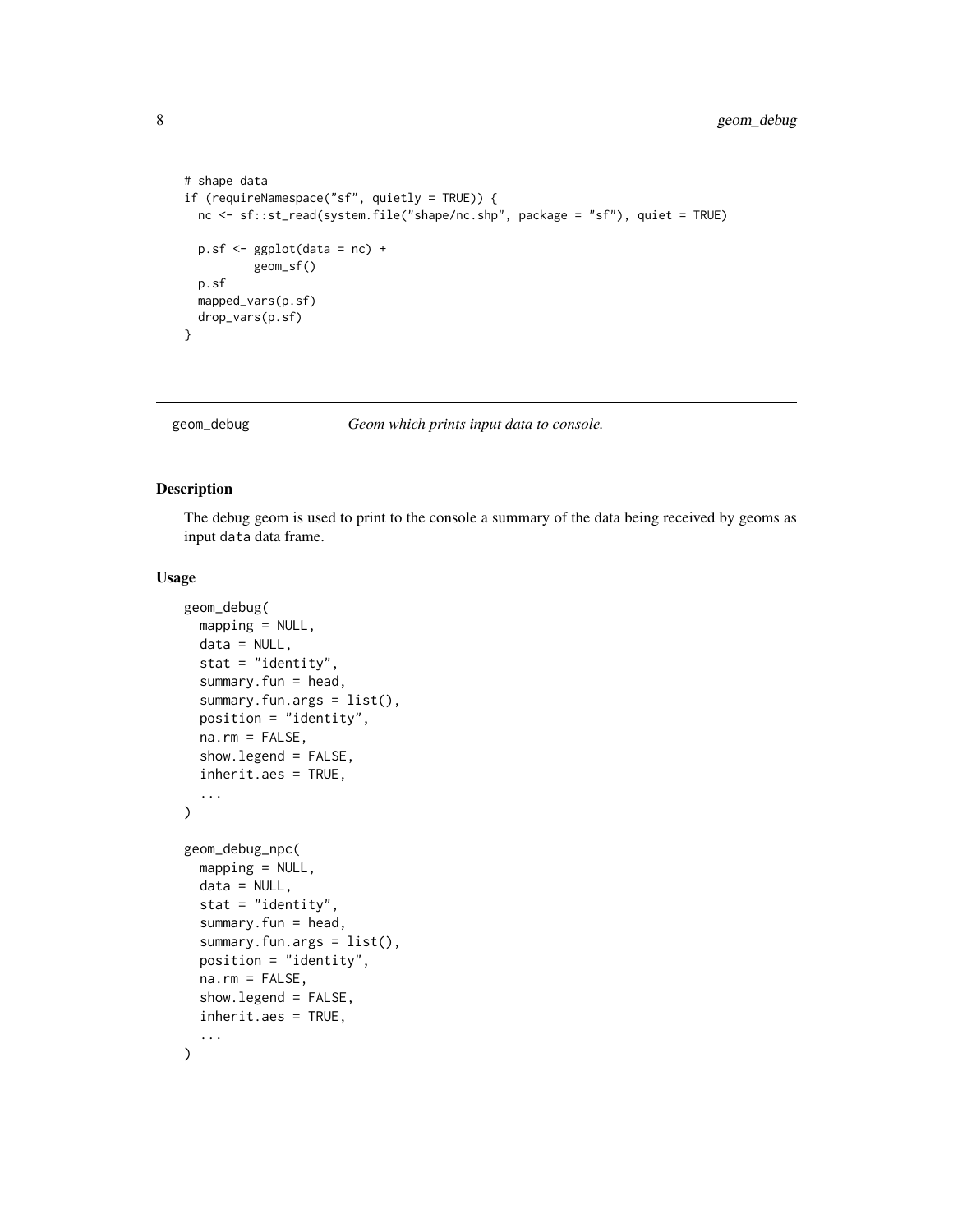```
# shape data
if (requireNamespace("sf", quietly = TRUE)) {
 nc <- sf::st_read(system.file("shape/nc.shp", package = "sf"), quiet = TRUE)
 p.sf <- ggplot(data = nc) +
          geom_sf()
 p.sf
 mapped_vars(p.sf)
 drop_vars(p.sf)
}
```
geom\_debug *Geom which prints input data to console.*

# Description

The debug geom is used to print to the console a summary of the data being received by geoms as input data data frame.

#### Usage

```
geom_debug(
 mapping = NULL,
  data = NULL,stat = "identity",
  summary.fun = head,
  summary.fun.args = list(),
  position = "identity",
  na.rm = FALSE,show.legend = FALSE,
  inherit.aes = TRUE,
  ...
\mathcal{L}geom_debug_npc(
 mapping = NULL,
  data = NULL,stat = "identity",
  summary.fun = head,
  summary.fun.args = list(),
  position = "identity",
  na.rm = FALSE,
  show.legend = FALSE,
  inherit.aes = TRUE,
  ...
\mathcal{L}
```
<span id="page-7-0"></span>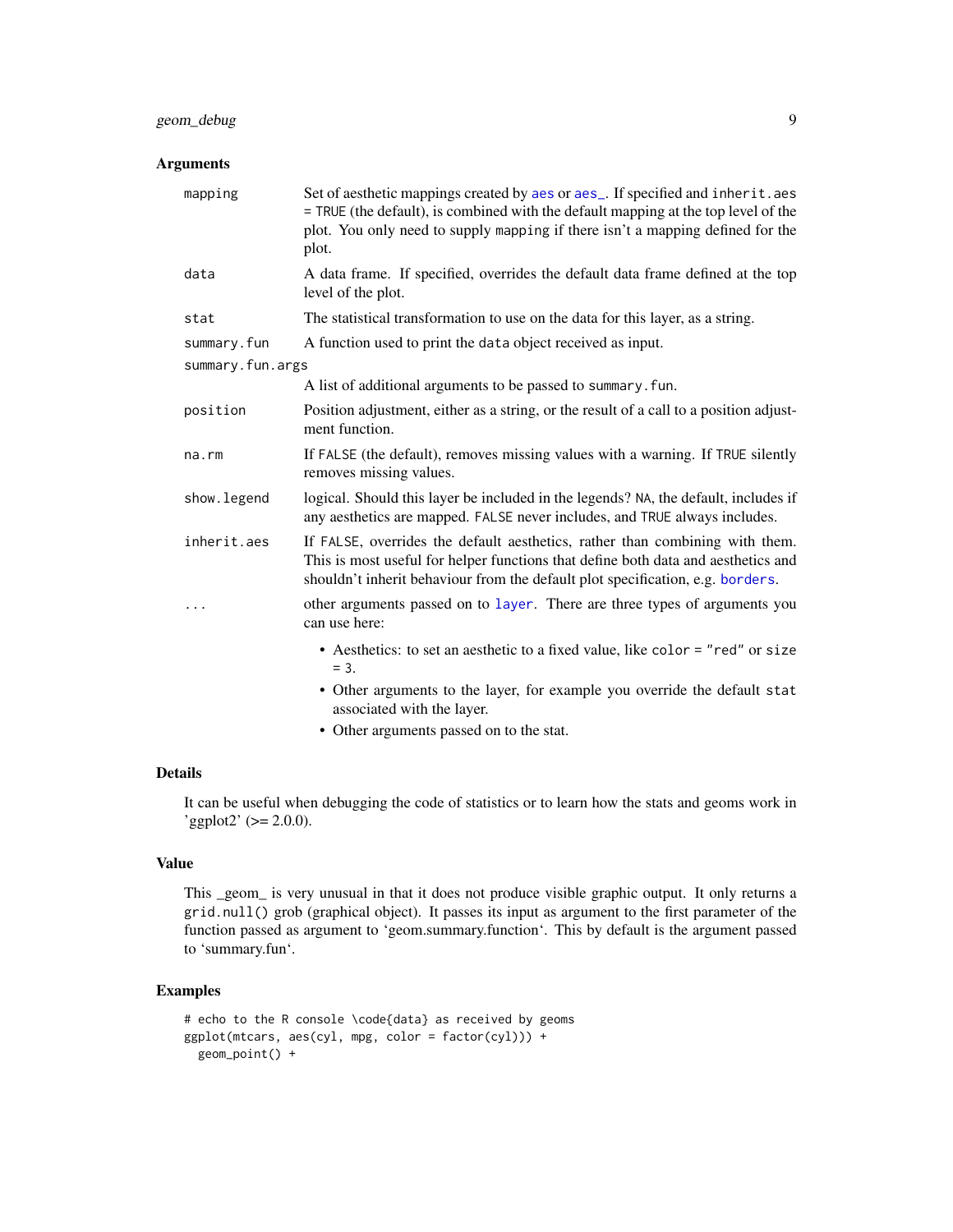# <span id="page-8-0"></span>geom\_debug 9

# Arguments

| mapping          | Set of aesthetic mappings created by aes or aes_. If specified and inherit.aes<br>= TRUE (the default), is combined with the default mapping at the top level of the<br>plot. You only need to supply mapping if there isn't a mapping defined for the<br>plot. |
|------------------|-----------------------------------------------------------------------------------------------------------------------------------------------------------------------------------------------------------------------------------------------------------------|
| data             | A data frame. If specified, overrides the default data frame defined at the top<br>level of the plot.                                                                                                                                                           |
| stat             | The statistical transformation to use on the data for this layer, as a string.                                                                                                                                                                                  |
| summary.fun      | A function used to print the data object received as input.                                                                                                                                                                                                     |
| summary.fun.args |                                                                                                                                                                                                                                                                 |
|                  | A list of additional arguments to be passed to summary. fun.                                                                                                                                                                                                    |
| position         | Position adjustment, either as a string, or the result of a call to a position adjust-<br>ment function.                                                                                                                                                        |
| na.rm            | If FALSE (the default), removes missing values with a warning. If TRUE silently<br>removes missing values.                                                                                                                                                      |
| show.legend      | logical. Should this layer be included in the legends? NA, the default, includes if<br>any aesthetics are mapped. FALSE never includes, and TRUE always includes.                                                                                               |
| inherit.aes      | If FALSE, overrides the default aesthetics, rather than combining with them.<br>This is most useful for helper functions that define both data and aesthetics and<br>shouldn't inherit behaviour from the default plot specification, e.g. borders.             |
| .                | other arguments passed on to layer. There are three types of arguments you<br>can use here:                                                                                                                                                                     |
|                  | • Aesthetics: to set an aesthetic to a fixed value, like color = "red" or size<br>$= 3.$                                                                                                                                                                        |
|                  | • Other arguments to the layer, for example you override the default stat<br>associated with the layer.                                                                                                                                                         |

• Other arguments passed on to the stat.

## Details

It can be useful when debugging the code of statistics or to learn how the stats and geoms work in  $'$ ggplot2' ( $>= 2.0.0$ ).

# Value

This \_geom\_ is very unusual in that it does not produce visible graphic output. It only returns a grid.null() grob (graphical object). It passes its input as argument to the first parameter of the function passed as argument to 'geom.summary.function'. This by default is the argument passed to 'summary.fun'.

```
# echo to the R console \code{data} as received by geoms
ggplot(mtcars, aes(cyl, mpg, color = factor(cyl))) +geom_point() +
```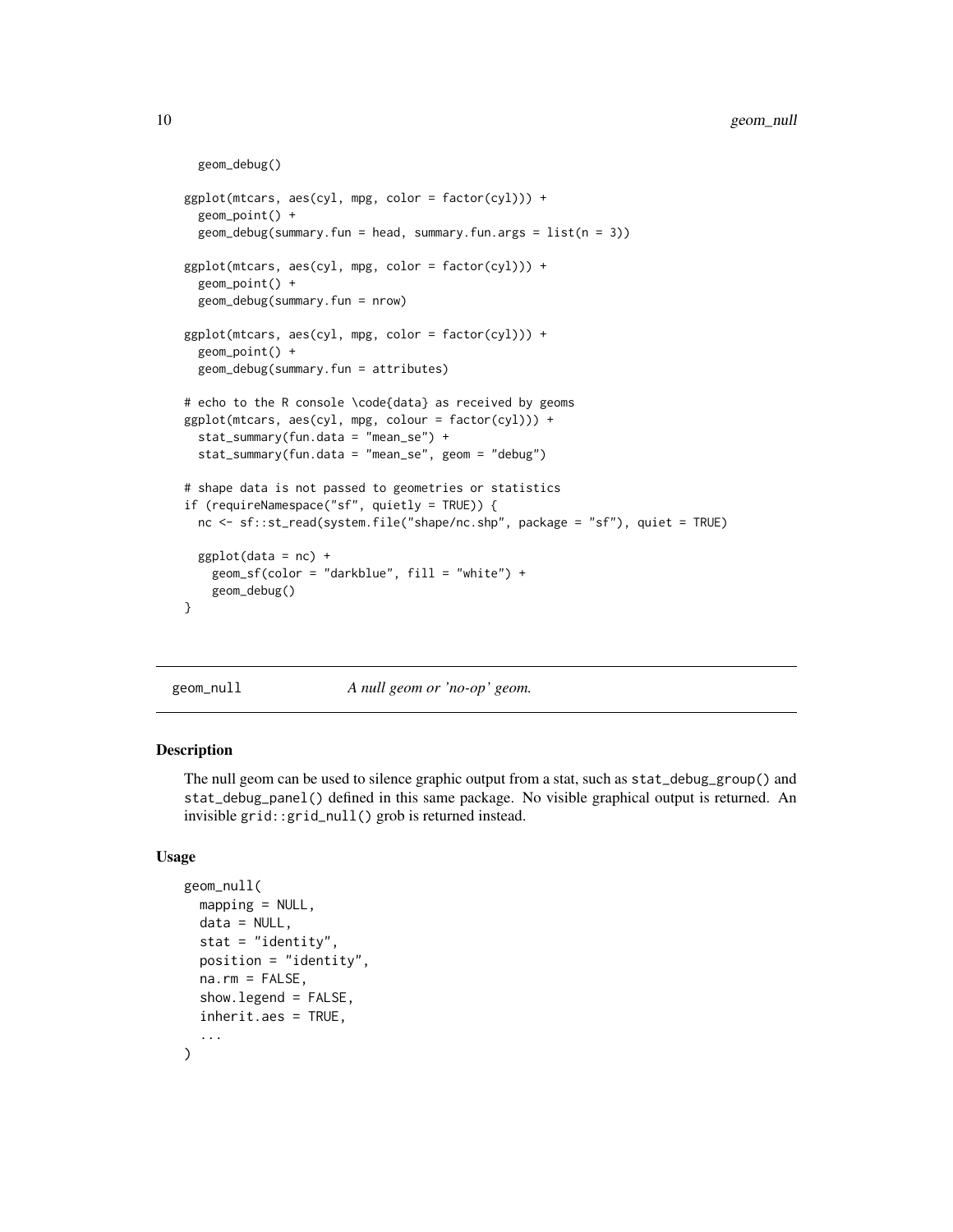```
geom_debug()
ggplot(mtcars, aes(cyl, mpg, color = factor(cyl))) +
 geom_point() +
 geom\_debug(summary.fun = head, summary.fun.argv.fun.ggplot(mtcars, aes(cyl, mpg, color = factor(cyl))) +
 geom_point() +
 geom_debug(summary.fun = nrow)
ggplot(mtcars, aes(cyl, mpg, color = factor(cyl))) +
 geom_point() +
 geom_debug(summary.fun = attributes)
# echo to the R console \code{data} as received by geoms
ggplot(mtcars, aes(cyl, mpg, colour = factor(cyl))) +
 stat_summary(fun.data = "mean_se") +
 stat_summary(fun.data = "mean_se", geom = "debug")
# shape data is not passed to geometries or statistics
if (requireNamespace("sf", quietly = TRUE)) {
 nc <- sf::st_read(system.file("shape/nc.shp", package = "sf"), quiet = TRUE)
 ggplot(data = nc) +geom_sf(color = "darkblue", fill = "white") +
   geom_debug()
}
```
geom\_null *A null geom or 'no-op' geom.*

#### Description

The null geom can be used to silence graphic output from a stat, such as stat\_debug\_group() and stat\_debug\_panel() defined in this same package. No visible graphical output is returned. An invisible grid::grid\_null() grob is returned instead.

#### Usage

```
geom_null(
 mapping = NULL,
 data = NULL,stat = "identity",
  position = "identity",
  na.rm = FALSE,
  show.legend = FALSE,
  inherit.aes = TRUE,
  ...
)
```
<span id="page-9-0"></span>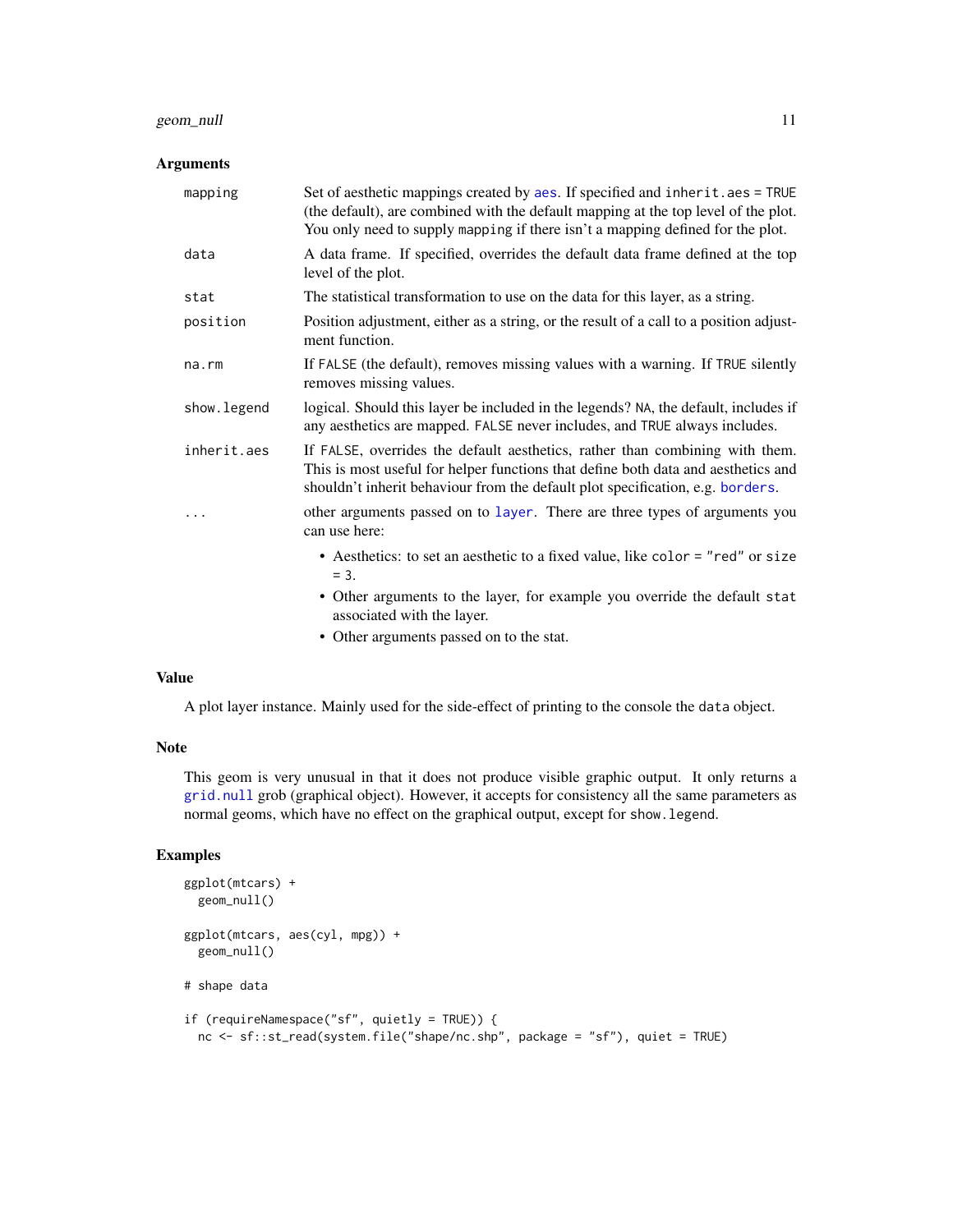# <span id="page-10-0"></span>geom\_null 11

# Arguments

| mapping      | Set of aesthetic mappings created by aes. If specified and inherit.aes = TRUE<br>(the default), are combined with the default mapping at the top level of the plot.<br>You only need to supply mapping if there isn't a mapping defined for the plot. |
|--------------|-------------------------------------------------------------------------------------------------------------------------------------------------------------------------------------------------------------------------------------------------------|
| data         | A data frame. If specified, overrides the default data frame defined at the top<br>level of the plot.                                                                                                                                                 |
| stat         | The statistical transformation to use on the data for this layer, as a string.                                                                                                                                                                        |
| position     | Position adjustment, either as a string, or the result of a call to a position adjust-<br>ment function.                                                                                                                                              |
| $na$ . $rm$  | If FALSE (the default), removes missing values with a warning. If TRUE silently<br>removes missing values.                                                                                                                                            |
| show. legend | logical. Should this layer be included in the legends? NA, the default, includes if<br>any aesthetics are mapped. FALSE never includes, and TRUE always includes.                                                                                     |
| inherit.aes  | If FALSE, overrides the default aesthetics, rather than combining with them.<br>This is most useful for helper functions that define both data and aesthetics and<br>shouldn't inherit behaviour from the default plot specification, e.g. borders.   |
|              | other arguments passed on to layer. There are three types of arguments you<br>can use here:                                                                                                                                                           |
|              | • Aesthetics: to set an aesthetic to a fixed value, like color = "red" or size<br>$=$ 3.                                                                                                                                                              |
|              | • Other arguments to the layer, for example you override the default stat<br>associated with the layer.                                                                                                                                               |
|              | $\bullet$ Other examples negocal on to the stat                                                                                                                                                                                                       |

• Other arguments passed on to the stat.

# Value

A plot layer instance. Mainly used for the side-effect of printing to the console the data object.

#### Note

This geom is very unusual in that it does not produce visible graphic output. It only returns a [grid.null](#page-0-0) grob (graphical object). However, it accepts for consistency all the same parameters as normal geoms, which have no effect on the graphical output, except for show.legend.

```
ggplot(mtcars) +
  geom_null()
ggplot(mtcars, aes(cyl, mpg)) +
  geom_null()
# shape data
if (requireNamespace("sf", quietly = TRUE)) {
  nc <- sf::st_read(system.file("shape/nc.shp", package = "sf"), quiet = TRUE)
```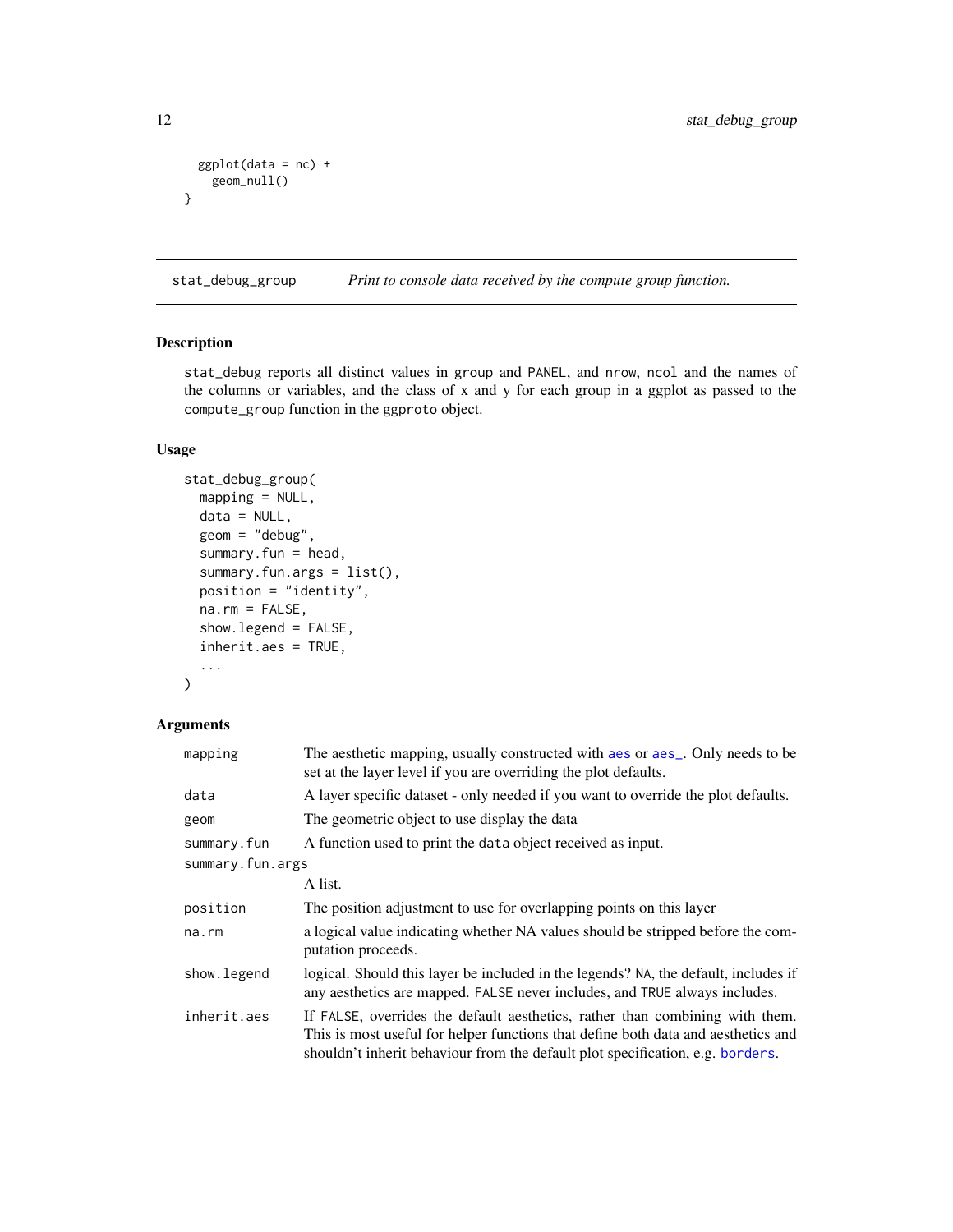```
ggplot(data = nc) +geom_null()
}
```
<span id="page-11-1"></span>stat\_debug\_group *Print to console data received by the compute group function.*

# Description

stat\_debug reports all distinct values in group and PANEL, and nrow, ncol and the names of the columns or variables, and the class of x and y for each group in a ggplot as passed to the compute\_group function in the ggproto object.

# Usage

```
stat_debug_group(
 mapping = NULL,
 data = NULL,geom = "debug",
  summary.fun = head,
  summary.fun.args = list(),
  position = "identity",
  na.rm = FALSE,
  show.legend = FALSE,
  inherit.aes = TRUE,
  ...
)
```
# Arguments

| mapping          | The aesthetic mapping, usually constructed with aes or aes <sub>-</sub> . Only needs to be<br>set at the layer level if you are overriding the plot defaults.                                                                                       |
|------------------|-----------------------------------------------------------------------------------------------------------------------------------------------------------------------------------------------------------------------------------------------------|
| data             | A layer specific dataset - only needed if you want to override the plot defaults.                                                                                                                                                                   |
| geom             | The geometric object to use display the data                                                                                                                                                                                                        |
| summary.fun      | A function used to print the data object received as input.                                                                                                                                                                                         |
| summary.fun.args |                                                                                                                                                                                                                                                     |
|                  | A list.                                                                                                                                                                                                                                             |
| position         | The position adjustment to use for overlapping points on this layer                                                                                                                                                                                 |
| $na$ . $rm$      | a logical value indicating whether NA values should be stripped before the com-<br>putation proceeds.                                                                                                                                               |
| show. legend     | logical. Should this layer be included in the legends? NA, the default, includes if<br>any aesthetics are mapped. FALSE never includes, and TRUE always includes.                                                                                   |
| inherit.aes      | If FALSE, overrides the default aesthetics, rather than combining with them.<br>This is most useful for helper functions that define both data and aesthetics and<br>shouldn't inherit behaviour from the default plot specification, e.g. borders. |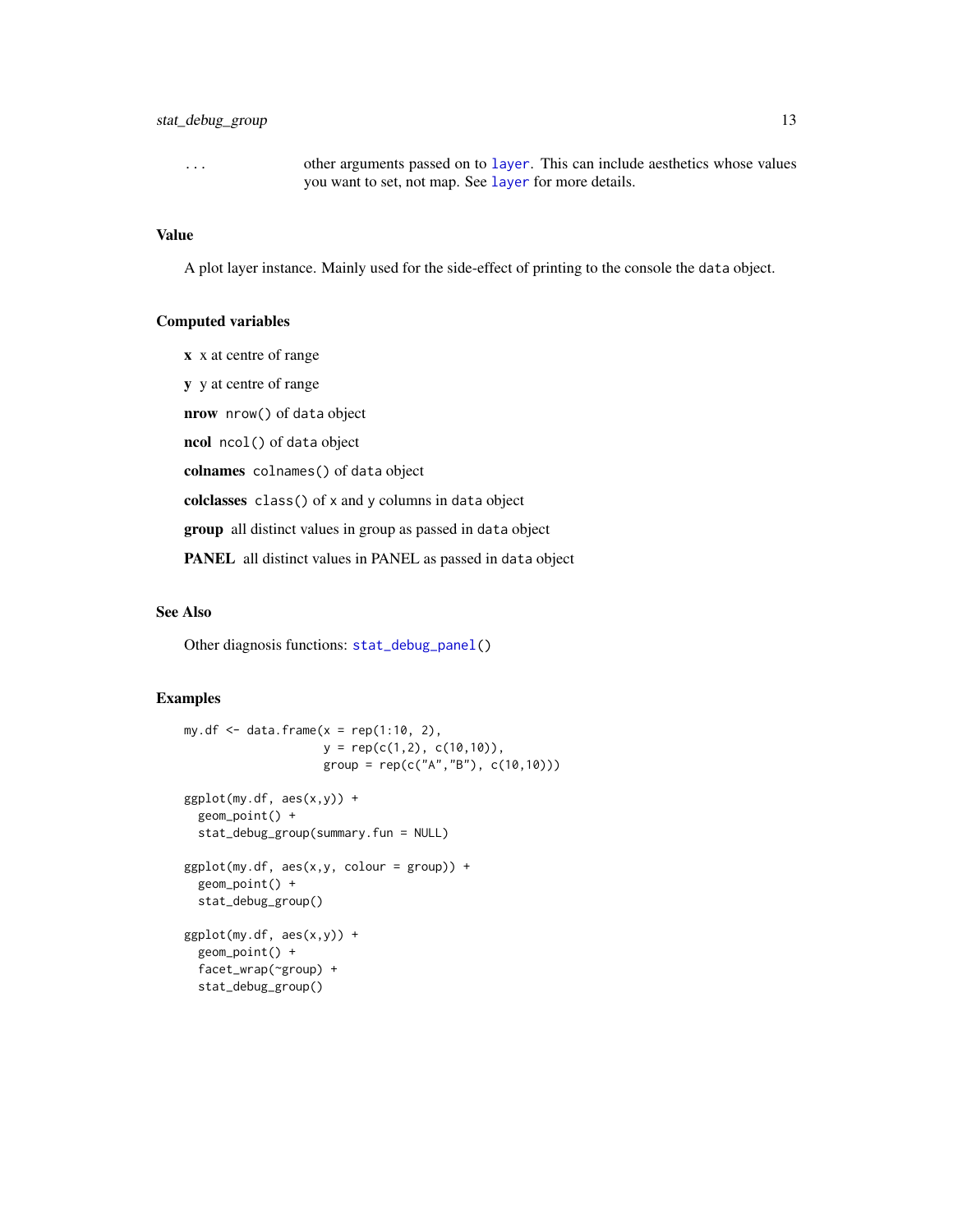<span id="page-12-0"></span>... other arguments passed on to [layer](#page-0-0). This can include aesthetics whose values you want to set, not map. See [layer](#page-0-0) for more details.

# Value

A plot layer instance. Mainly used for the side-effect of printing to the console the data object.

# Computed variables

x x at centre of range y y at centre of range nrow nrow() of data object ncol ncol() of data object colnames colnames() of data object colclasses class() of x and y columns in data object group all distinct values in group as passed in data object PANEL all distinct values in PANEL as passed in data object

#### See Also

Other diagnosis functions: [stat\\_debug\\_panel\(](#page-13-1))

```
my.df \leq data.frame(x = rep(1:10, 2),
                    y = rep(c(1,2), c(10,10)),group = rep(c("A","B"), c(10,10)))
ggplot(my.df, aes(x,y)) +geom_point() +
  stat_debug_group(summary.fun = NULL)
ggplot(my.df, aes(x,y, colour = group)) +geom_point() +
  stat_debug_group()
ggplot(my.df, aes(x,y)) +geom_point() +
  facet_wrap(~group) +
  stat_debug_group()
```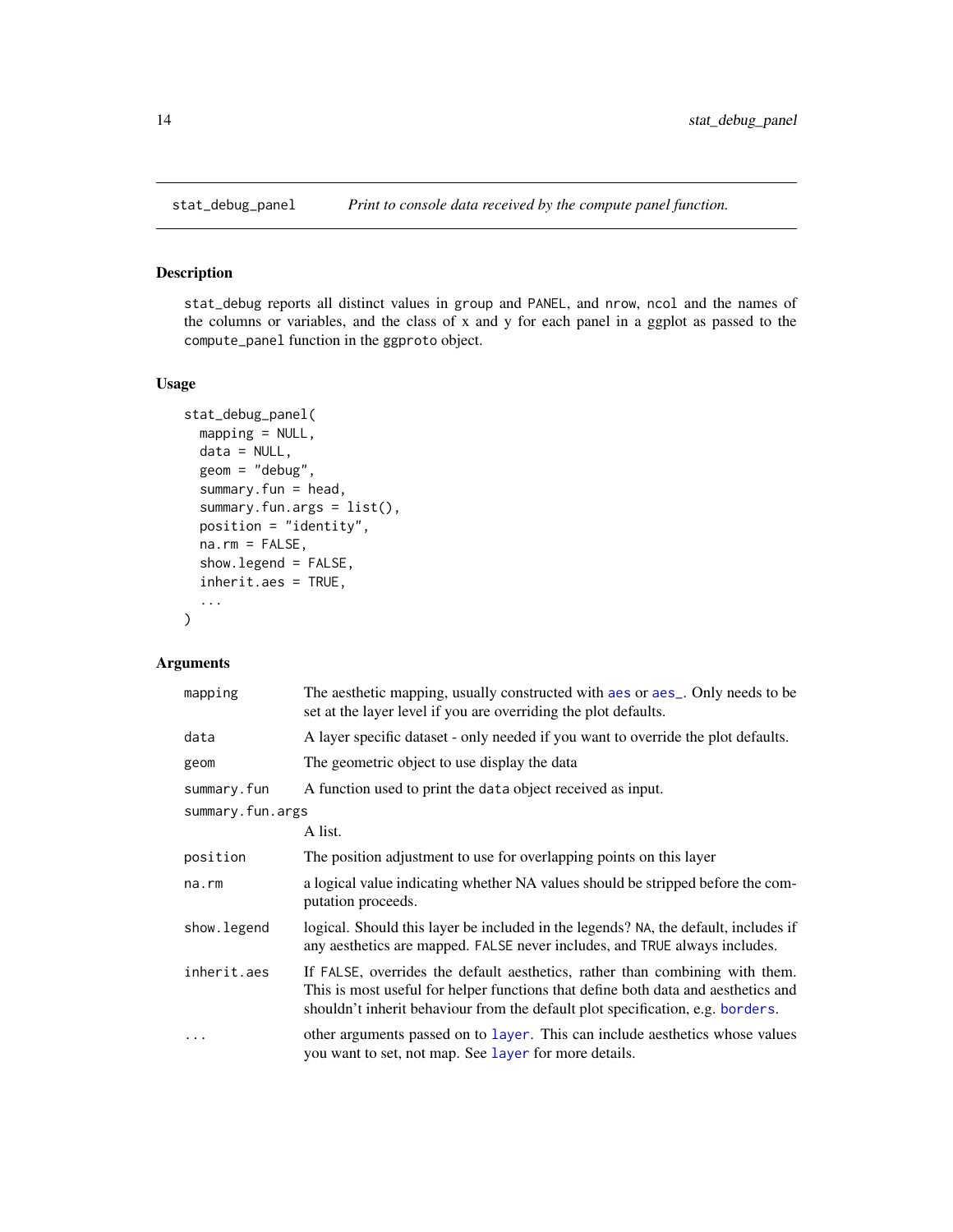<span id="page-13-1"></span><span id="page-13-0"></span>

# Description

stat\_debug reports all distinct values in group and PANEL, and nrow, ncol and the names of the columns or variables, and the class of x and y for each panel in a ggplot as passed to the compute\_panel function in the ggproto object.

# Usage

```
stat_debug_panel(
  mapping = NULL,
  data = NULL,geom = "debug",
  summary.fun = head,
  summary.fun.args = list(),
  position = "identity",
  na.rm = FALSE,show.legend = FALSE,
  inherit.aes = TRUE,
  ...
)
```
# Arguments

| mapping          | The aesthetic mapping, usually constructed with a es or a es_. Only needs to be<br>set at the layer level if you are overriding the plot defaults.                                                                                                  |
|------------------|-----------------------------------------------------------------------------------------------------------------------------------------------------------------------------------------------------------------------------------------------------|
| data             | A layer specific dataset - only needed if you want to override the plot defaults.                                                                                                                                                                   |
| geom             | The geometric object to use display the data                                                                                                                                                                                                        |
| summary.fun      | A function used to print the data object received as input.                                                                                                                                                                                         |
| summary.fun.args |                                                                                                                                                                                                                                                     |
|                  | A list.                                                                                                                                                                                                                                             |
| position         | The position adjustment to use for overlapping points on this layer                                                                                                                                                                                 |
| na.rm            | a logical value indicating whether NA values should be stripped before the com-<br>putation proceeds.                                                                                                                                               |
| show.legend      | logical. Should this layer be included in the legends? NA, the default, includes if<br>any aesthetics are mapped. FALSE never includes, and TRUE always includes.                                                                                   |
| inherit.aes      | If FALSE, overrides the default aesthetics, rather than combining with them.<br>This is most useful for helper functions that define both data and aesthetics and<br>shouldn't inherit behaviour from the default plot specification, e.g. borders. |
| .                | other arguments passed on to layer. This can include aesthetics whose values<br>you want to set, not map. See layer for more details.                                                                                                               |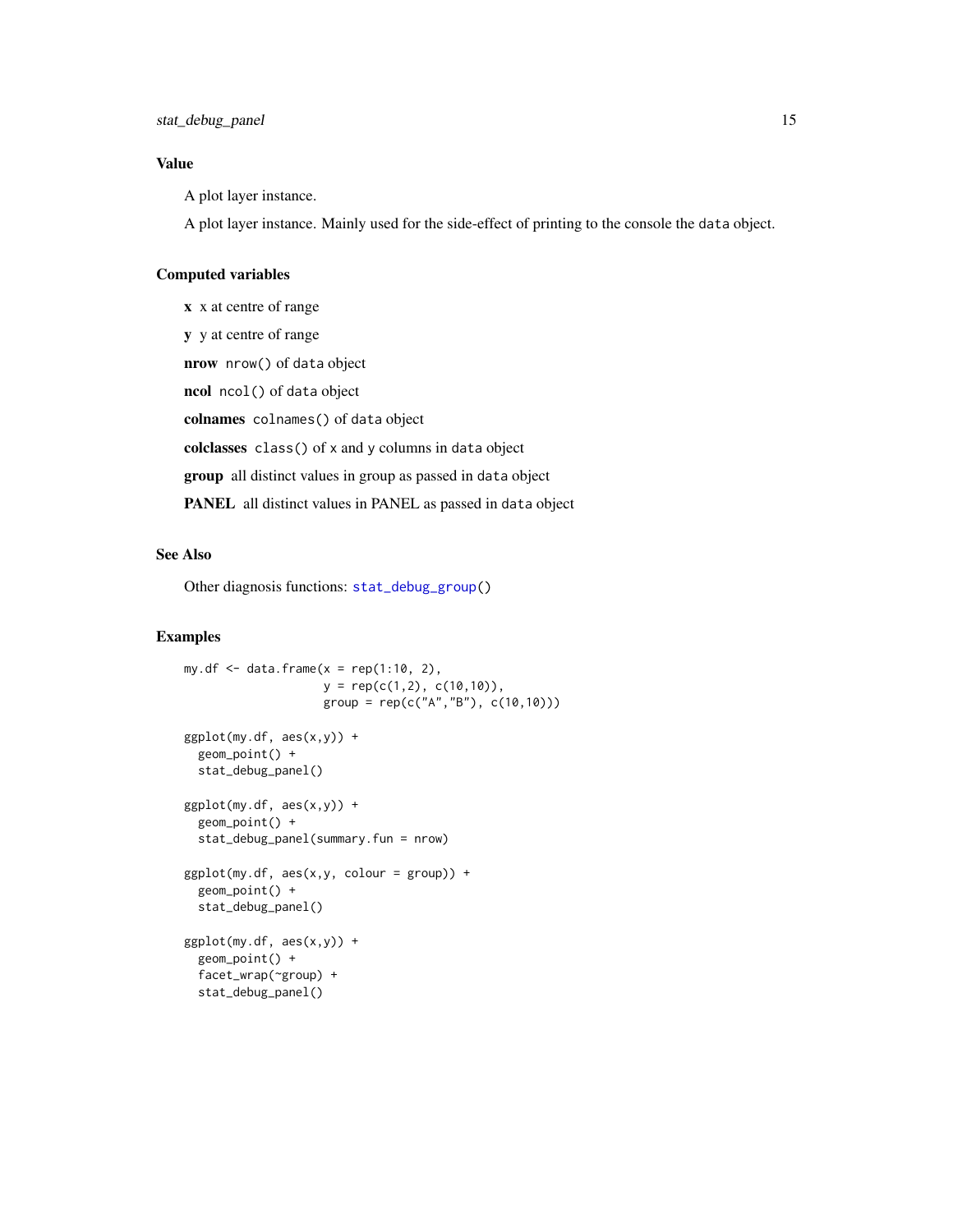# <span id="page-14-0"></span>Value

A plot layer instance.

A plot layer instance. Mainly used for the side-effect of printing to the console the data object.

# Computed variables

x x at centre of range y y at centre of range nrow nrow() of data object ncol ncol() of data object colnames colnames() of data object colclasses class() of x and y columns in data object group all distinct values in group as passed in data object PANEL all distinct values in PANEL as passed in data object

# See Also

Other diagnosis functions: [stat\\_debug\\_group\(](#page-11-1))

```
my.df \leq data.frame(x = rep(1:10, 2),
                   y = rep(c(1,2), c(10,10)),group = rep(c("A", "B"), c(10,10)))ggplot(my.df, aes(x,y)) +geom_point() +
  stat_debug_panel()
ggplot(my.df, aes(x,y)) +geom_point() +
  stat_debug_panel(summary.fun = nrow)
ggplot(my.df, aes(x,y, colour = group)) +geom_point() +
  stat_debug_panel()
ggplot(my.df, aes(x,y)) +
  geom_point() +
  facet_wrap(~group) +
  stat_debug_panel()
```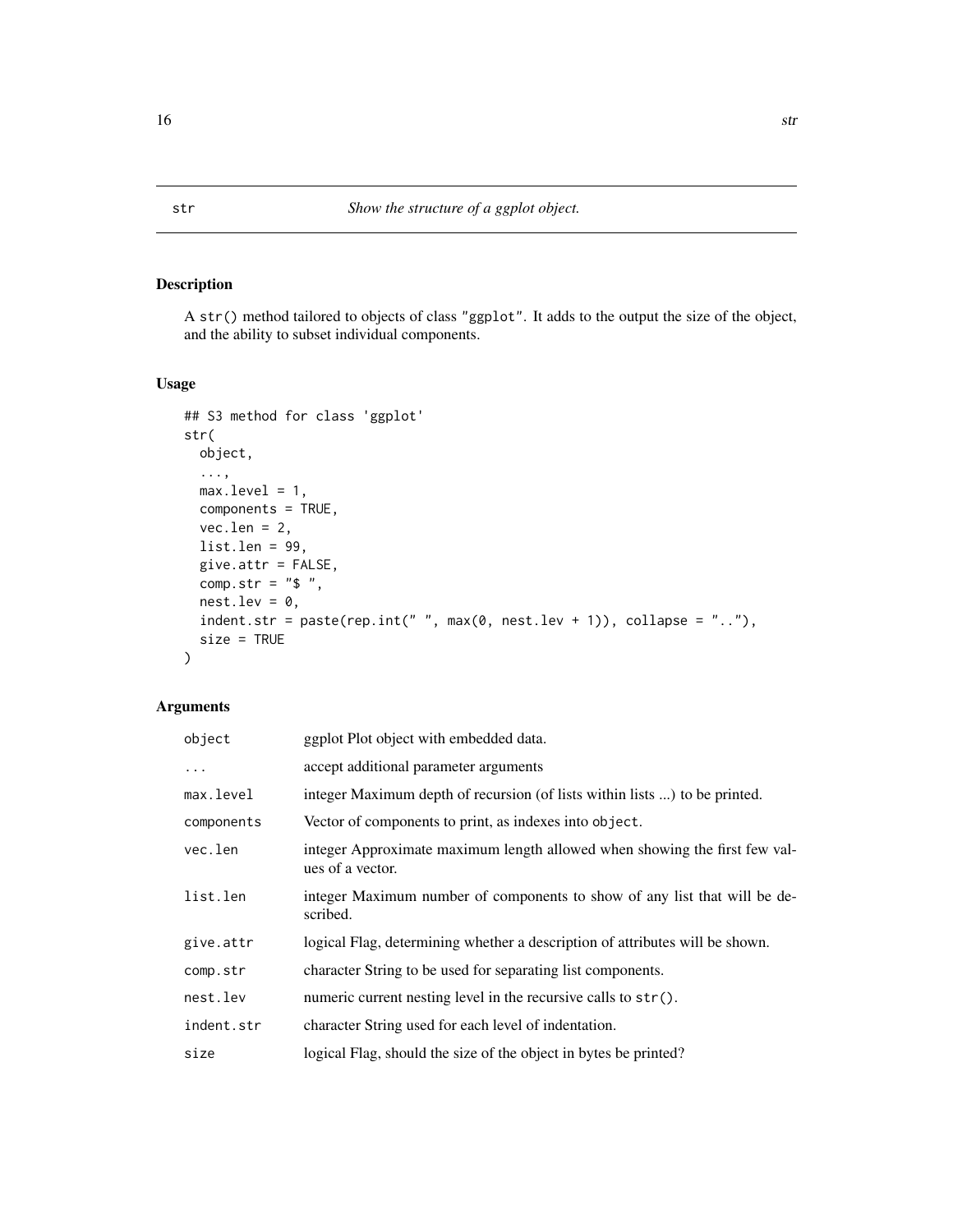# Description

A str() method tailored to objects of class "ggplot". It adds to the output the size of the object, and the ability to subset individual components.

# Usage

```
## S3 method for class 'ggplot'
str(
 object,
  ...,
 max.level = 1,
 components = TRUE,
 vec.length = 2,
 list.len = 99,
 give.attr = FALSE,
  comp.str = "$ ",
 nest.lev = 0,indent.str = paste(rep.int(" ", max(0, nest.lev + 1)), collapse = ".."),
 size = TRUE
)
```
# Arguments

| object     | ggplot Plot object with embedded data.                                                         |
|------------|------------------------------------------------------------------------------------------------|
| $\ddots$   | accept additional parameter arguments                                                          |
| max.level  | integer Maximum depth of recursion (of lists within lists ) to be printed.                     |
| components | Vector of components to print, as indexes into object.                                         |
| vec.len    | integer Approximate maximum length allowed when showing the first few val-<br>ues of a vector. |
| list.len   | integer Maximum number of components to show of any list that will be de-<br>scribed.          |
| give.attr  | logical Flag, determining whether a description of attributes will be shown.                   |
| comp.str   | character String to be used for separating list components.                                    |
| nest.lev   | numeric current nesting level in the recursive calls to $str()$ .                              |
| indent.str | character String used for each level of indentation.                                           |
| size       | logical Flag, should the size of the object in bytes be printed?                               |

<span id="page-15-0"></span>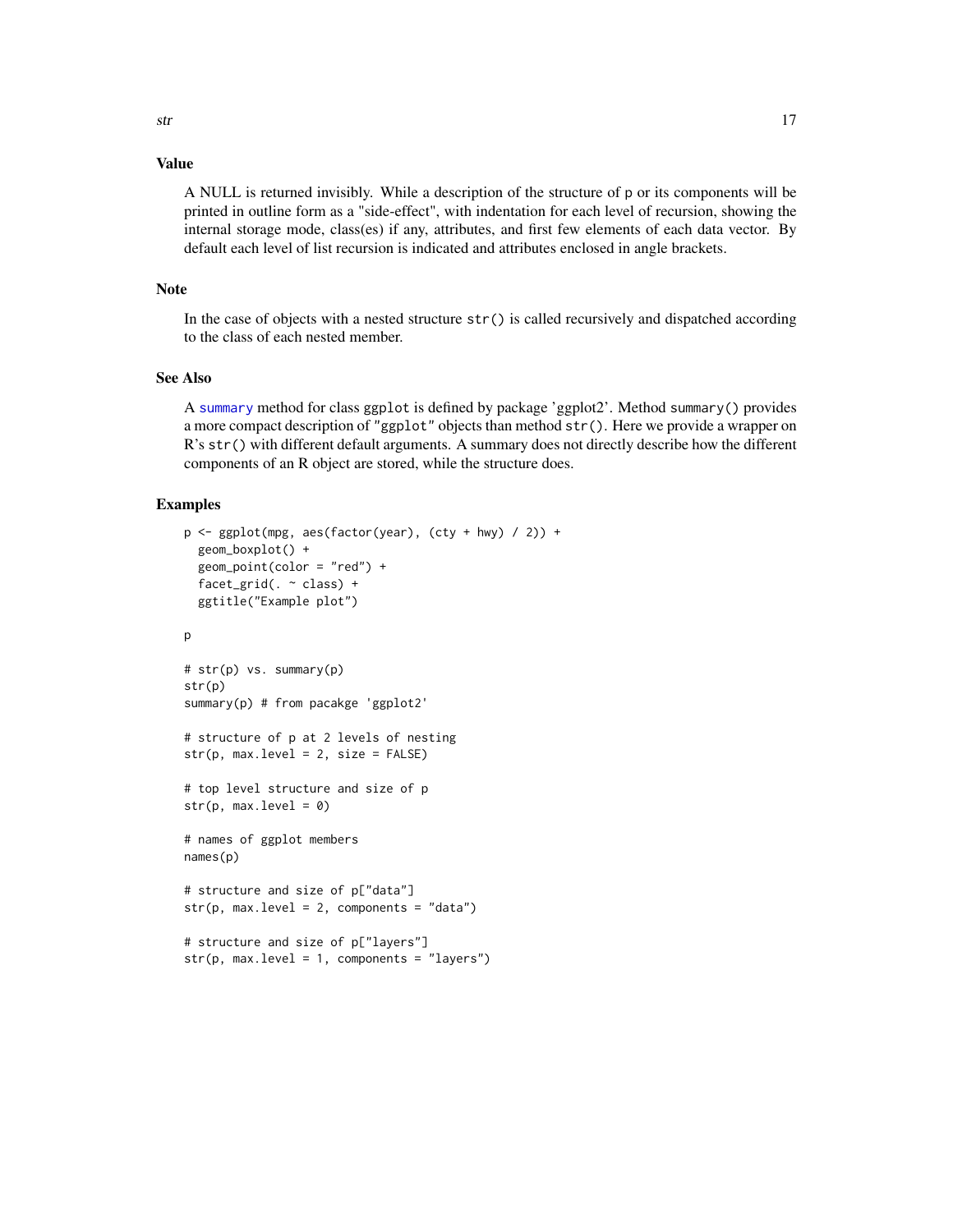# <span id="page-16-0"></span>Value

A NULL is returned invisibly. While a description of the structure of p or its components will be printed in outline form as a "side-effect", with indentation for each level of recursion, showing the internal storage mode, class(es) if any, attributes, and first few elements of each data vector. By default each level of list recursion is indicated and attributes enclosed in angle brackets.

# Note

In the case of objects with a nested structure  $str()$  is called recursively and dispatched according to the class of each nested member.

#### See Also

A [summary](#page-0-0) method for class ggplot is defined by package 'ggplot2'. Method summary() provides a more compact description of "ggplot" objects than method str(). Here we provide a wrapper on R's str() with different default arguments. A summary does not directly describe how the different components of an R object are stored, while the structure does.

```
p \leftarrow \text{ggplot}(\text{mpg}, \text{aes}(\text{factor}(year), (cty + hwy) / 2)) +geom_boxplot() +
 geom_point(color = "red") +
 facet_grid(. ~ class) +
 ggtitle("Example plot")
p
# str(p) vs. summary(p)
str(p)
summary(p) # from pacakge 'ggplot2'
# structure of p at 2 levels of nesting
str(p, max. level = 2, size = FALSE)# top level structure and size of p
str(p, max. level = 0)# names of ggplot members
names(p)
# structure and size of p["data"]
str(p, max.level = 2, components = "data")# structure and size of p["layers"]
str(p, max. level = 1, components = "layers")
```